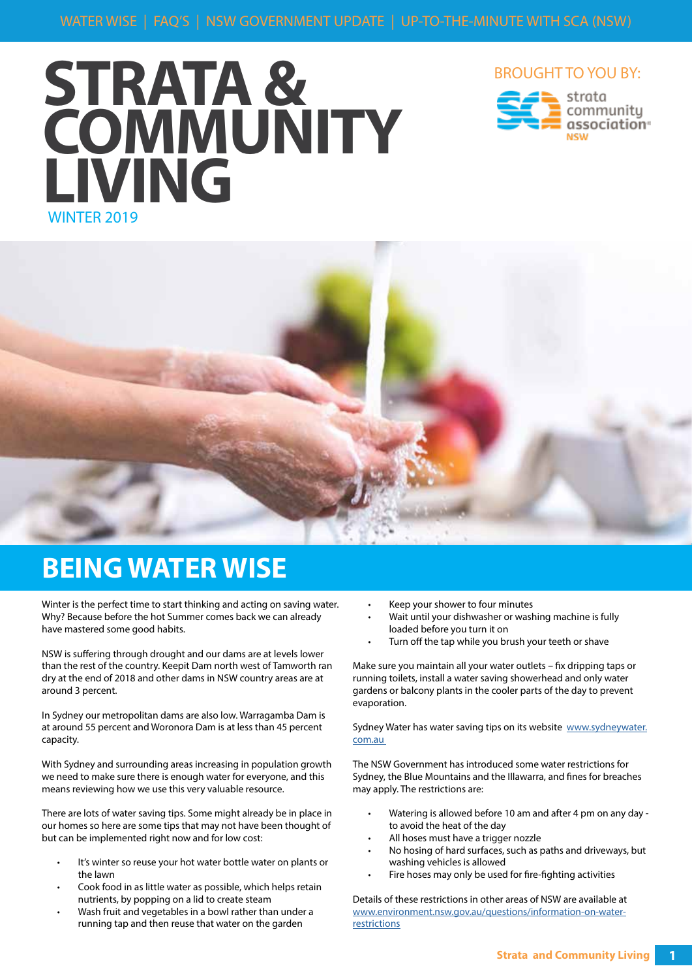# WINTER 2019 **STRATA & COMMUNITY LIVING**





## **BEING WATER WISE**

Winter is the perfect time to start thinking and acting on saving water. Why? Because before the hot Summer comes back we can already have mastered some good habits.

NSW is suffering through drought and our dams are at levels lower than the rest of the country. Keepit Dam north west of Tamworth ran dry at the end of 2018 and other dams in NSW country areas are at around 3 percent.

In Sydney our metropolitan dams are also low. Warragamba Dam is at around 55 percent and Woronora Dam is at less than 45 percent capacity.

With Sydney and surrounding areas increasing in population growth we need to make sure there is enough water for everyone, and this means reviewing how we use this very valuable resource.

There are lots of water saving tips. Some might already be in place in our homes so here are some tips that may not have been thought of but can be implemented right now and for low cost:

- It's winter so reuse your hot water bottle water on plants or the lawn
- Cook food in as little water as possible, which helps retain nutrients, by popping on a lid to create steam
- Wash fruit and vegetables in a bowl rather than under a running tap and then reuse that water on the garden
- Keep your shower to four minutes
- Wait until your dishwasher or washing machine is fully loaded before you turn it on
- Turn off the tap while you brush your teeth or shave

Make sure you maintain all your water outlets – fix dripping taps or running toilets, install a water saving showerhead and only water gardens or balcony plants in the cooler parts of the day to prevent evaporation.

Sydney Water has water saving tips on its website www.sydneywater. com.au

The NSW Government has introduced some water restrictions for Sydney, the Blue Mountains and the Illawarra, and fines for breaches may apply. The restrictions are:

- Watering is allowed before 10 am and after 4 pm on any day to avoid the heat of the day
- All hoses must have a trigger nozzle
- No hosing of hard surfaces, such as paths and driveways, but washing vehicles is allowed
- Fire hoses may only be used for fire-fighting activities

Details of these restrictions in other areas of NSW are available at www.environment.nsw.gov.au/questions/information-on-waterrestrictions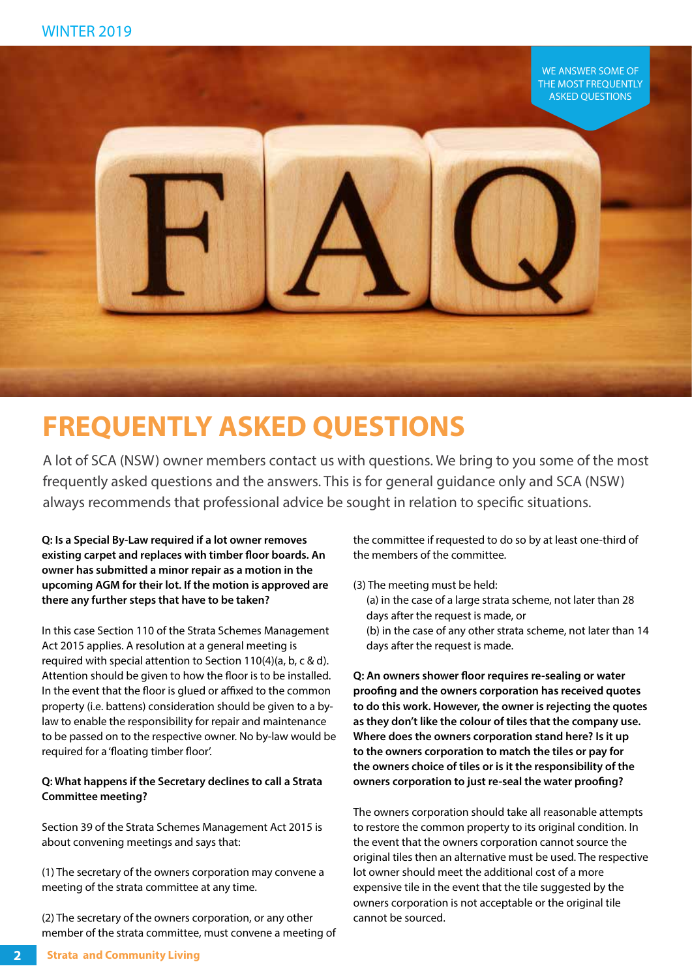

# **FREQUENTLY ASKED QUESTIONS**

A lot of SCA (NSW) owner members contact us with questions. We bring to you some of the most frequently asked questions and the answers. This is for general guidance only and SCA (NSW) always recommends that professional advice be sought in relation to specific situations.

**Q: Is a Special By-Law required if a lot owner removes existing carpet and replaces with timber floor boards. An owner has submitted a minor repair as a motion in the upcoming AGM for their lot. If the motion is approved are there any further steps that have to be taken?** 

In this case Section 110 of the Strata Schemes Management Act 2015 applies. A resolution at a general meeting is required with special attention to Section 110(4)(a, b, c & d). Attention should be given to how the floor is to be installed. In the event that the floor is glued or affixed to the common property (i.e. battens) consideration should be given to a bylaw to enable the responsibility for repair and maintenance to be passed on to the respective owner. No by-law would be required for a 'floating timber floor'.

#### **Q: What happens if the Secretary declines to call a Strata Committee meeting?**

Section 39 of the Strata Schemes Management Act 2015 is about convening meetings and says that:

(1) The secretary of the owners corporation may convene a meeting of the strata committee at any time.

(2) The secretary of the owners corporation, or any other member of the strata committee, must convene a meeting of the committee if requested to do so by at least one-third of the members of the committee.

(3) The meeting must be held: (a) in the case of a large strata scheme, not later than 28 days after the request is made, or (b) in the case of any other strata scheme, not later than 14 days after the request is made.

**Q: An owners shower floor requires re-sealing or water proofing and the owners corporation has received quotes to do this work. However, the owner is rejecting the quotes as they don't like the colour of tiles that the company use. Where does the owners corporation stand here? Is it up to the owners corporation to match the tiles or pay for the owners choice of tiles or is it the responsibility of the owners corporation to just re-seal the water proofing?**

The owners corporation should take all reasonable attempts to restore the common property to its original condition. In the event that the owners corporation cannot source the original tiles then an alternative must be used. The respective lot owner should meet the additional cost of a more expensive tile in the event that the tile suggested by the owners corporation is not acceptable or the original tile cannot be sourced.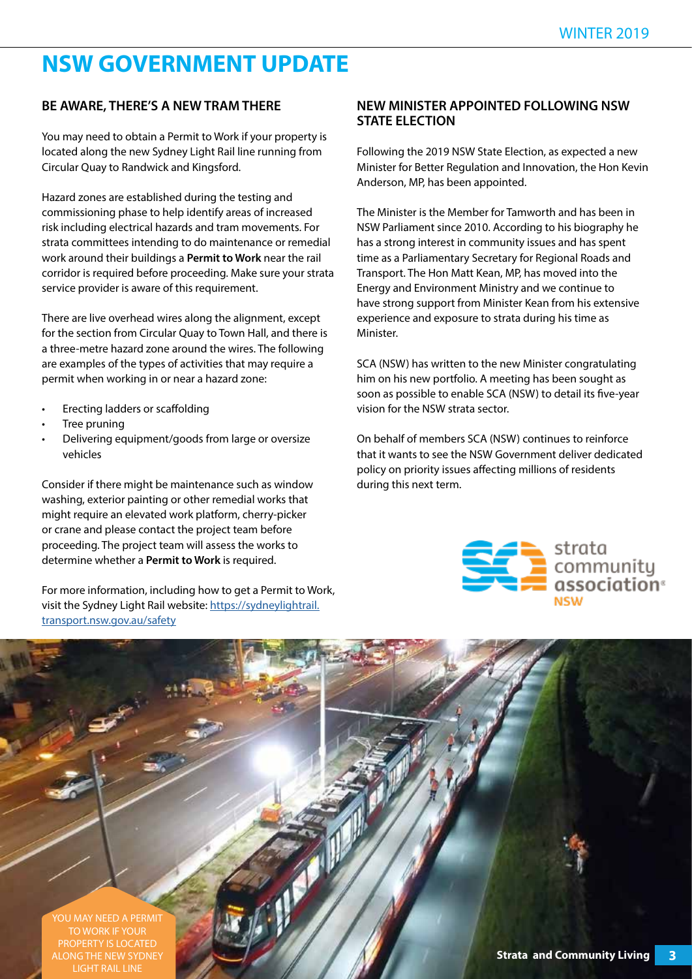### **NSW GOVERNMENT UPDATE**

#### **BE AWARE, THERE'S A NEW TRAM THERE**

You may need to obtain a Permit to Work if your property is located along the new Sydney Light Rail line running from Circular Quay to Randwick and Kingsford.

Hazard zones are established during the testing and commissioning phase to help identify areas of increased risk including electrical hazards and tram movements. For strata committees intending to do maintenance or remedial work around their buildings a **Permit to Work** near the rail corridor is required before proceeding. Make sure your strata service provider is aware of this requirement.

There are live overhead wires along the alignment, except for the section from Circular Quay to Town Hall, and there is a three-metre hazard zone around the wires. The following are examples of the types of activities that may require a permit when working in or near a hazard zone:

- Erecting ladders or scaffolding
- Tree pruning
- Delivering equipment/goods from large or oversize vehicles

Consider if there might be maintenance such as window washing, exterior painting or other remedial works that might require an elevated work platform, cherry-picker or crane and please contact the project team before proceeding. The project team will assess the works to determine whether a **Permit to Work** is required.

For more information, including how to get a Permit to Work, visit the Sydney Light Rail website: https://sydneylightrail. transport.nsw.gov.au/safety

#### **NEW MINISTER APPOINTED FOLLOWING NSW STATE ELECTION**

Following the 2019 NSW State Election, as expected a new Minister for Better Regulation and Innovation, the Hon Kevin Anderson, MP, has been appointed.

The Minister is the Member for Tamworth and has been in NSW Parliament since 2010. According to his biography he has a strong interest in community issues and has spent time as a Parliamentary Secretary for Regional Roads and Transport. The Hon Matt Kean, MP, has moved into the Energy and Environment Ministry and we continue to have strong support from Minister Kean from his extensive experience and exposure to strata during his time as Minister.

SCA (NSW) has written to the new Minister congratulating him on his new portfolio. A meeting has been sought as soon as possible to enable SCA (NSW) to detail its five-year vision for the NSW strata sector.

On behalf of members SCA (NSW) continues to reinforce that it wants to see the NSW Government deliver dedicated policy on priority issues affecting millions of residents during this next term.



# **Strata and Community Living 3** YOU MAY NEED A PERMIT TO WORK IF YOUR PROPERTY IS LOCATED ALONG THE NEW SYDNEY LIGHT RAIL LINE